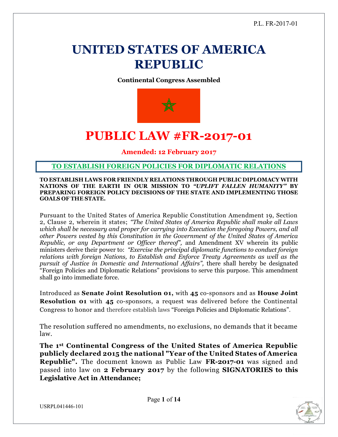## **UNITED STATES OF AMERICA REPUBLIC**

**Continental Congress Assembled**



## **PUBLIC LAW #FR-2017-01**

**Amended: 12 February 2017**

**TO ESTABLISH FOREIGN POLICIES FOR DIPLOMATIC RELATIONS**

**TO ESTABLISH LAWS FOR FRIENDLY RELATIONS THROUGH PUBLIC DIPLOMACY WITH NATIONS OF THE EARTH IN OUR MISSION TO** *"UPLIFT FALLEN HUMANITY"* **BY PREPARING FOREIGN POLICY DECISIONS OF THE STATE AND IMPLEMENTING THOSE GOALS OF THE STATE.**

Pursuant to the United States of America Republic Constitution Amendment 19, Section 2, Clause 2, wherein it states; *"The United States of America Republic shall make all Laws which shall be necessary and proper for carrying into Execution the foregoing Powers, and all other Powers vested by this Constitution in the Government of the United States of America Republic, or any Department or Officer thereof",* and Amendment XV wherein its public ministers derive their power to: *"Exercise the principal diplomatic functions to conduct foreign relations with foreign Nations, to Establish and Enforce Treaty Agreements as well as the pursuit of Justice in Domestic and International Affairs",* there shall hereby be designated "Foreign Policies and Diplomatic Relations" provisions to serve this purpose. This amendment shall go into immediate force.

Introduced as **Senate Joint Resolution 01,** with **45** co-sponsors and as **House Joint Resolution 01** with **45** co-sponsors, a request was delivered before the Continental Congress to honor and therefore establish laws "Foreign Policies and Diplomatic Relations".

The resolution suffered no amendments, no exclusions, no demands that it became law.

**The 1st Continental Congress of the United States of America Republic publicly declared 2015 the national "Year of the United States of America Republic".** The document known as Public Law **FR-2017-01** was signed and passed into law on **2 February 2017** by the following **SIGNATORIES to this Legislative Act in Attendance;**

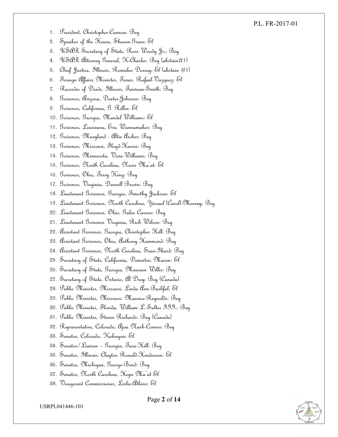#### P.L. FR-2017-01

- 1. President, Christopher-Cannon: Bey
- 2. Speaker of the House, Sharon-Green: El
- 3. USAR Secretary of State, Ross Woody Jr,: Bey
- 4. USAR Attorney General, K-Charles: Bey (abstain#1)
- 5. Chief Justice, Illinois, Romulus Dorsey: El (abstain #1)
- 6. Foreign Affairs Minister, Texas, Rafael-Vazquez: El
- 7. Recorder of Deeds, Illinois, Taiwuan-Smith: Bey
- 8. Governor, Arizona, Dexter-Johnson: Bey
- 9. Governor, California, G. Riller: El
- 10. Governor, Georgia, Mandel Williams: El
- 11. Governor, Louisiana, Eric Wannamaker: Bey
- 12. Governor, Maryland Altie Archer: Bey
- 13. Governor, Missouri, Floyd-Harris: Bey
- 14. Governor, Minnesota, Vicie-Williams: Bey
- 15. Governor, North Carolina, Nasir Ma'at: El
- 16. Governor, Ohio, Terry King: Bey
- 17. Governor, Virginia, Darnell Brown: Bey
- 18. Lieutenant Governor, Georgia, Timothy Jackson: El
- 19. Lieutenant Governor, North Carolina, Yisrael (Carol)-Murray: Bey
- 20. Lieutenant Governor, Ohio, Galen Carson: Bey
- 21. Lieutenant Governor Virginia, Rich Wilson: Bey
- 22. Assistant Governor, Georgia, Christopher Hill: Bey
- 23. Assistant Governor, Ohio, Anthony Hammond: Bey
- 24. Assistant Governor, North Carolina, Sean-Ikard: Bey
- 25. Secretary of State, California, Demeitric Mason: El
- 26. Secretary of State, Georgia, Maureen Willis: Bey
- 27. Secretary of State, Ontario, Al Drey: Bey (Canada)
- 28. Public Minister, Missouri, Linda Ann-Bashful: El
- 29. Public Minister, Missouri, Maurice-Reynolds: Bey
- 30. Public Minister, Florida, William L.-Salter III,: Bey
- 31. Public Minister, Steven Richards: Bey (Canada)
- 32. Representative, Colorado, Ajoa Nash-Conner: Bey
- 33. Senator, Colorado, Kakuyon: El
- 34. Senator/Liaison Georgia, Tara-Hill: Bey
- 35. Senator, Illinois, Clayton Ronald-Henderson: El
- 36. Senator, Michigan, George-Bond: Bey
- 37. Senator, North Carolina, Hope Ma'at El
- 38. Vicegerent Commissioner, Leslie-Atkins: El

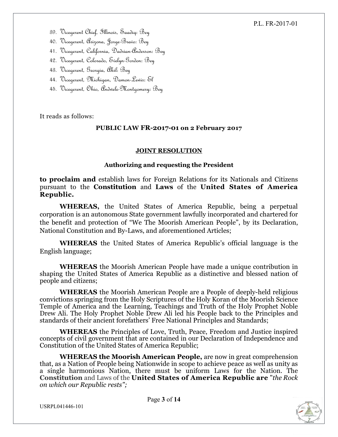#### P.L. FR-2017-01

- 39. Vicegerent Chief, Illinois, Saadiq: Bey
- 40. Vicegerent, Arizona, Jorge-Bravo: Bey
- 41. Vicegerent, California, Dadrian-Anderson: Bey
- 42. Vicegerent, Colorado, Evelyn-Gordon: Bey
- 43. Vicegerent, Georgia, Akil: Bey
- 44. Vicegerent, Michigan, Damon-Lewis: El
- 45. Vicegerent, Ohio, Andwele-Montgomery: Bey

It reads as follows:

#### **PUBLIC LAW FR-2017-01 on 2 February 2017**

#### **JOINT RESOLUTION**

#### **Authorizing and requesting the President**

**to proclaim and** establish laws for Foreign Relations for its Nationals and Citizens pursuant to the **Constitution** and **Laws** of the **United States of America Republic.**

**WHEREAS,** the United States of America Republic, being a perpetual corporation is an autonomous State government lawfully incorporated and chartered for the benefit and protection of "We The Moorish American People", by its Declaration, National Constitution and By-Laws, and aforementioned Articles;

**WHEREAS** the United States of America Republic's official language is the English language;

**WHEREAS** the Moorish American People have made a unique contribution in shaping the United States of America Republic as a distinctive and blessed nation of people and citizens;

**WHEREAS** the Moorish American People are a People of deeply-held religious convictions springing from the Holy Scriptures of the Holy Koran of the Moorish Science Temple of America and the Learning, Teachings and Truth of the Holy Prophet Noble Drew Ali. The Holy Prophet Noble Drew Ali led his People back to the Principles and standards of their ancient forefathers' Free National Principles and Standards;

**WHEREAS** the Principles of Love, Truth, Peace, Freedom and Justice inspired concepts of civil government that are contained in our Declaration of Independence and Constitution of the United States of America Republic;

**WHEREAS the Moorish American People,** are now in great comprehension that, as a Nation of People being Nationwide in scope to achieve peace as well as unity as a single harmonious Nation, there must be uniform Laws for the Nation. The **Constitution** and Laws of the **United States of America Republic are** "*the Rock on which our Republic rests";*

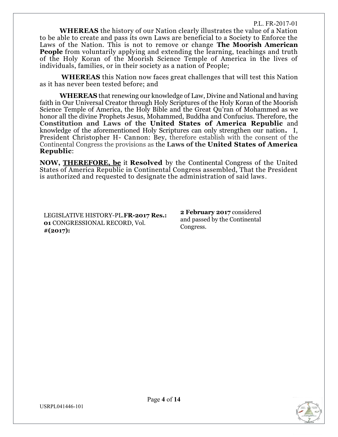**WHEREAS** the history of our Nation clearly illustrates the value of a Nation to be able to create and pass its own Laws are beneficial to a Society to Enforce the Laws of the Nation. This is not to remove or change **The Moorish American People** from voluntarily applying and extending the learning, teachings and truth of the Holy Koran of the Moorish Science Temple of America in the lives of individuals, families, or in their society as a nation of People;

**WHEREAS** this Nation now faces great challenges that will test this Nation as it has never been tested before; and

**WHEREAS** that renewing our knowledge of Law, Divine and National and having faith in Our Universal Creator through Holy Scriptures of the Holy Koran of the Moorish Science Temple of America, the Holy Bible and the Great Qu'ran of Mohammed as we honor all the divine Prophets Jesus, Mohammed, Buddha and Confucius. Therefore, the **Constitution and Laws of the United States of America Republic** and knowledge of the aforementioned Holy Scriptures can only strengthen our nation**.** I, President Christopher H- Cannon: Bey, therefore establish with the consent of the Continental Congress the provisions as the **Laws of the United States of America Republic**:

**NOW, [THEREFORE, be](http://therefore.be/)** it **Resolved** by the Continental Congress of the United States of America Republic in Continental Congress assembled, That the President is authorized and requested to designate the administration of said laws.

LEGISLATIVE HISTORY-PL.**FR-2017 Res.: 01** CONGRESSIONAL RECORD, Vol. **#(2017):**

**2 February 2017** considered and passed by the Continental Congress.

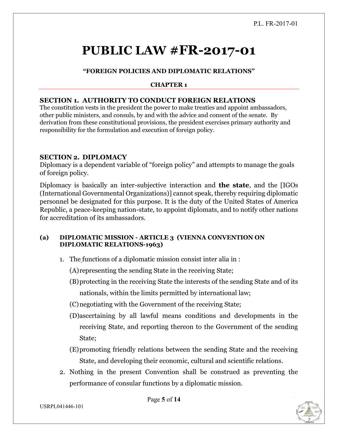# **PUBLIC LAW #FR-2017-01**

## **"FOREIGN POLICIES AND DIPLOMATIC RELATIONS"**

#### **CHAPTER 1**

#### **SECTION 1. AUTHORITY TO CONDUCT FOREIGN RELATIONS**

The constitution vests in the president the power to make treaties and appoint ambassadors, other public ministers, and consuls, by and with the advice and consent of the senate. By derivation from these constitutional provisions, the president exercises primary authority and responsibility for the formulation and execution of foreign policy.

#### **SECTION 2. DIPLOMACY**

Diplomacy is a dependent variable of "foreign policy" and attempts to manage the goals of foreign policy.

Diplomacy is basically an inter-subjective interaction and **the state**, and the [IGOs (International Governmental Organizations)] cannot speak, thereby requiring diplomatic personnel be designated for this purpose. It is the duty of the United States of America Republic, a peace-keeping nation-state, to appoint diplomats, and to notify other nations for accreditation of its ambassadors.

#### **(a) DIPLOMATIC MISSION - ARTICLE 3 (VIENNA CONVENTION ON DIPLOMATIC RELATIONS-1963)**

1. The functions of a diplomatic mission consist inter alia in :

(A)representing the sending State in the receiving State;

- (B)protecting in the receiving State the interests of the sending State and of its nationals, within the limits permitted by international law;
- (C)negotiating with the Government of the receiving State;
- (D)ascertaining by all lawful means conditions and developments in the receiving State, and reporting thereon to the Government of the sending State;
- (E)promoting friendly relations between the sending State and the receiving State, and developing their economic, cultural and scientific relations.
- 2. Nothing in the present Convention shall be construed as preventing the performance of consular functions by a diplomatic mission.



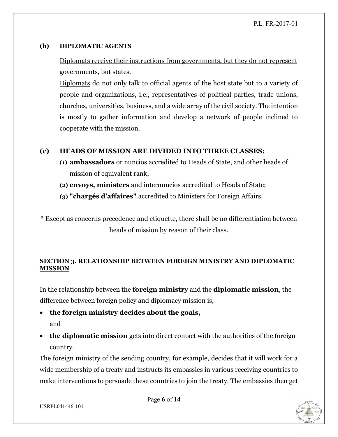#### **(b) DIPLOMATIC AGENTS**

## Diplomats receive their instructions from governments, but they do not represent governments, but states.

Diplomats do not only talk to official agents of the host state but to a variety of people and organizations, i.e., representatives of political parties, trade unions, churches, universities, business, and a wide array of the civil society. The intention is mostly to gather information and develop a network of people inclined to cooperate with the mission.

## **(c) HEADS OF MISSION ARE DIVIDED INTO THREE CLASSES:**

- **(1) ambassadors** or nuncios accredited to Heads of State, and other heads of mission of equivalent rank;
- **(2) envoys, ministers** and internuncios accredited to Heads of State;
- **(3) "chargés d'affaires"** accredited to Ministers for Foreign Affairs.
- \* Except as concerns precedence and etiquette, there shall be no differentiation between heads of mission by reason of their class.

## **SECTION 3. RELATIONSHIP BETWEEN FOREIGN MINISTRY AND DIPLOMATIC MISSION**

In the relationship between the **foreign ministry** and the **diplomatic mission**, the difference between foreign policy and diplomacy mission is,

- **the foreign ministry decides about the goals,** and
- the diplomatic mission gets into direct contact with the authorities of the foreign country.

The foreign ministry of the sending country, for example, decides that it will work for a wide membership of a treaty and instructs its embassies in various receiving countries to make interventions to persuade these countries to join the treaty. The embassies then get



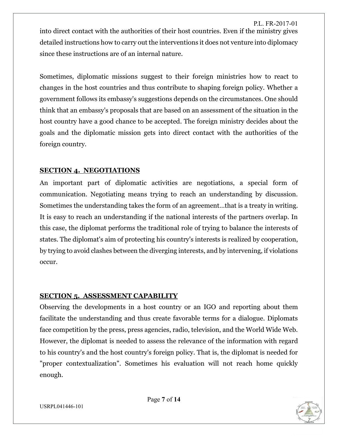P.L. FR-2017-01 into direct contact with the authorities of their host countries. Even if the ministry gives detailed instructions how to carry out the interventions it does not venture into diplomacy since these instructions are of an internal nature.

Sometimes, diplomatic missions suggest to their foreign ministries how to react to changes in the host countries and thus contribute to shaping foreign policy. Whether a government follows its embassy's suggestions depends on the circumstances. One should think that an embassy's proposals that are based on an assessment of the situation in the host country have a good chance to be accepted. The foreign ministry decides about the goals and the diplomatic mission gets into direct contact with the authorities of the foreign country.

## **SECTION 4. NEGOTIATIONS**

An important part of diplomatic activities are negotiations, a special form of communication. Negotiating means trying to reach an understanding by discussion. Sometimes the understanding takes the form of an agreement…that is a treaty in writing. It is easy to reach an understanding if the national interests of the partners overlap. In this case, the diplomat performs the traditional role of trying to balance the interests of states. The diplomat's aim of protecting his country's interests is realized by cooperation, by trying to avoid clashes between the diverging interests, and by intervening, if violations occur.

## **SECTION 5. ASSESSMENT CAPABILITY**

Observing the developments in a host country or an IGO and reporting about them facilitate the understanding and thus create favorable terms for a dialogue. Diplomats face competition by the press, press agencies, radio, television, and the World Wide Web. However, the diplomat is needed to assess the relevance of the information with regard to his country's and the host country's foreign policy. That is, the diplomat is needed for "proper contextualization". Sometimes his evaluation will not reach home quickly enough.



USRPL041446-101

Page **7** of **14**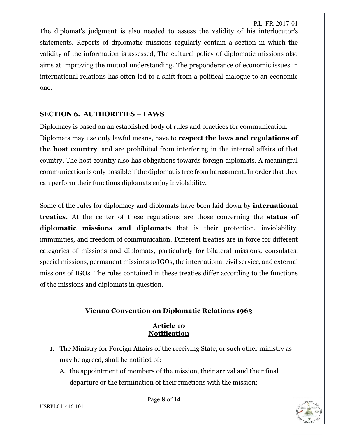P.L. FR-2017-01 The diplomat's judgment is also needed to assess the validity of his interlocutor's statements. Reports of diplomatic missions regularly contain a section in which the validity of the information is assessed, The cultural policy of diplomatic missions also aims at improving the mutual understanding. The preponderance of economic issues in international relations has often led to a shift from a political dialogue to an economic one.

## **SECTION 6. AUTHORITIES – LAWS**

Diplomacy is based on an established body of rules and practices for communication. Diplomats may use only lawful means, have to **respect the laws and regulations of the host country**, and are prohibited from interfering in the internal affairs of that country. The host country also has obligations towards foreign diplomats. A meaningful communication is only possible if the diplomat is free from harassment. In order that they can perform their functions diplomats enjoy inviolability.

Some of the rules for diplomacy and diplomats have been laid down by **international treaties.** At the center of these regulations are those concerning the **status of diplomatic missions and diplomats** that is their protection, inviolability, immunities, and freedom of communication. Different treaties are in force for different categories of missions and diplomats, particularly for bilateral missions, consulates, special missions, permanent missions to IGOs, the international civil service, and external missions of IGOs. The rules contained in these treaties differ according to the functions of the missions and diplomats in question.

## **Vienna Convention on Diplomatic Relations 1963**

#### **Article 10 Notification**

- 1. The Ministry for Foreign Affairs of the receiving State, or such other ministry as may be agreed, shall be notified of:
	- A. the appointment of members of the mission, their arrival and their final departure or the termination of their functions with the mission;

Page **8** of **14**



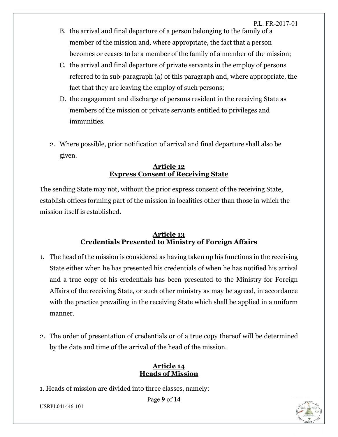- B. the arrival and final departure of a person belonging to the family of a member of the mission and, where appropriate, the fact that a person becomes or ceases to be a member of the family of a member of the mission;
- C. the arrival and final departure of private servants in the employ of persons referred to in sub-paragraph (a) of this paragraph and, where appropriate, the fact that they are leaving the employ of such persons;
- D. the engagement and discharge of persons resident in the receiving State as members of the mission or private servants entitled to privileges and immunities.
- 2. Where possible, prior notification of arrival and final departure shall also be given.

#### **Article 12 Express Consent of Receiving State**

The sending State may not, without the prior express consent of the receiving State, establish offices forming part of the mission in localities other than those in which the mission itself is established.

#### **Article 13 Credentials Presented to Ministry of Foreign Affairs**

- 1. The head of the mission is considered as having taken up his functions in the receiving State either when he has presented his credentials of when he has notified his arrival and a true copy of his credentials has been presented to the Ministry for Foreign Affairs of the receiving State, or such other ministry as may be agreed, in accordance with the practice prevailing in the receiving State which shall be applied in a uniform manner.
- 2. The order of presentation of credentials or of a true copy thereof will be determined by the date and time of the arrival of the head of the mission.

#### **Article 14 Heads of Mission**

1. Heads of mission are divided into three classes, namely:

Page **9** of **14**



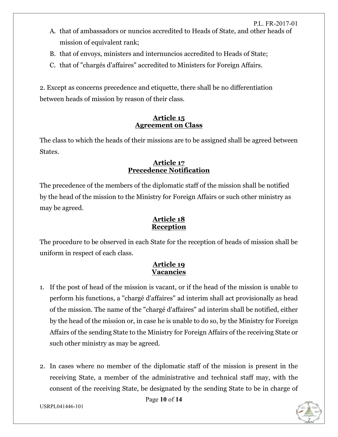- A. that of ambassadors or nuncios accredited to Heads of State, and other heads of mission of equivalent rank;
- B. that of envoys, ministers and internuncios accredited to Heads of State;
- C. that of "chargés d'affaires" accredited to Ministers for Foreign Affairs.

2. Except as concerns precedence and etiquette, there shall be no differentiation between heads of mission by reason of their class.

## **Article 15 Agreement on Class**

The class to which the heads of their missions are to be assigned shall be agreed between States.

## **Article 17 Precedence Notification**

The precedence of the members of the diplomatic staff of the mission shall be notified by the head of the mission to the Ministry for Foreign Affairs or such other ministry as may be agreed.

## **Article 18 Reception**

The procedure to be observed in each State for the reception of heads of mission shall be uniform in respect of each class.

## **Article 19 Vacancies**

- 1. If the post of head of the mission is vacant, or if the head of the mission is unable to perform his functions, a "chargé d'affaires" ad interim shall act provisionally as head of the mission. The name of the "chargé d'affaires" ad interim shall be notified, either by the head of the mission or, in case he is unable to do so, by the Ministry for Foreign Affairs of the sending State to the Ministry for Foreign Affairs of the receiving State or such other ministry as may be agreed.
- 2. In cases where no member of the diplomatic staff of the mission is present in the receiving State, a member of the administrative and technical staff may, with the consent of the receiving State, be designated by the sending State to be in charge of

Page **10** of **14**

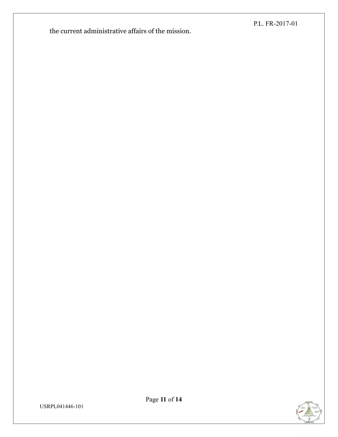the current administrative affairs of the mission.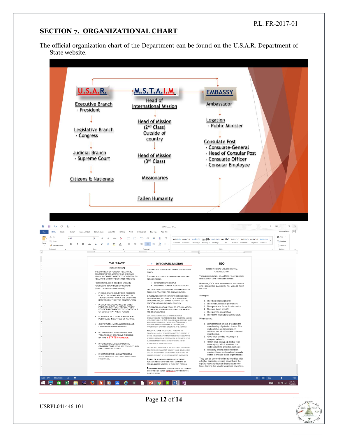#### **SECTION 7. ORGANIZATIONAL CHART**

The official organization chart of the Department can be found on the U.S.A.R. Department of State website.

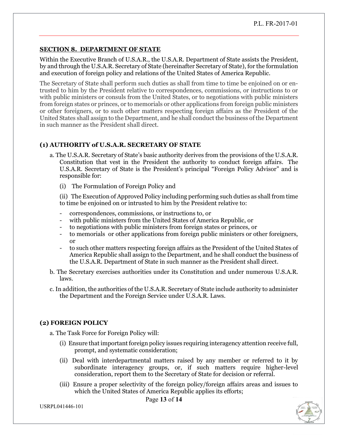#### **SECTION 8. DEPARTMENT OF STATE**

Within the Executive Branch of U.S.A.R., the U.S.A.R. Department of State assists the President, by and through the U.S.A.R. Secretary of State (hereinafter Secretary of State), for the formulation and execution of foreign policy and relations of the United States of America Republic.

The Secretary of State shall perform such duties as shall from time to time be enjoined on or entrusted to him by the President relative to correspondences, commissions, or instructions to or with public ministers or consuls from the United States, or to negotiations with public ministers from foreign states or princes, or to memorials or other applications from foreign public ministers or other foreigners, or to such other matters respecting foreign affairs as the President of the United States shall assign to the Department, and he shall conduct the business of the Department in such manner as the President shall direct.

#### **(1) AUTHORITY of U.S.A.R. SECRETARY OF STATE**

- a. The U.S.A.R. Secretary of State's basic authority derives from the provisions of the U.S.A.R. Constitution that vest in the President the authority to conduct foreign affairs. The U.S.A.R. Secretary of State is the President's principal "Foreign Policy Advisor" and is responsible for:
	- (i) The Formulation of Foreign Policy and

(ii) The Execution of Approved Policy including performing such duties as shall from time to time be enjoined on or intrusted to him by the President relative to:

- correspondences, commissions, or instructions to, or
- with public ministers from the United States of America Republic, or
- to negotiations with public ministers from foreign states or princes, or
- to memorials or other applications from foreign public ministers or other foreigners, or
- to such other matters respecting foreign affairs as the President of the United States of America Republic shall assign to the Department, and he shall conduct the business of the U.S.A.R. Department of State in such manner as the President shall direct.
- b. The Secretary exercises authorities under its Constitution and under numerous U.S.A.R. laws.
- c. In addition, the authorities of the U.S.A.R. Secretary of State include authority to administer the Department and the Foreign Service under U.S.A.R. Laws.

#### **(2) FOREIGN POLICY**

a. The Task Force for Foreign Policy will:

- (i) Ensure that important foreign policy issues requiring interagency attention receive full, prompt, and systematic consideration;
- (ii) Deal with interdepartmental matters raised by any member or referred to it by subordinate interagency groups, or, if such matters require higher-level consideration, report them to the Secretary of State for decision or referral.
- (iii) Ensure a proper selectivity of the foreign policy/foreign affairs areas and issues to which the United States of America Republic applies its efforts;

Page **13** of **14**